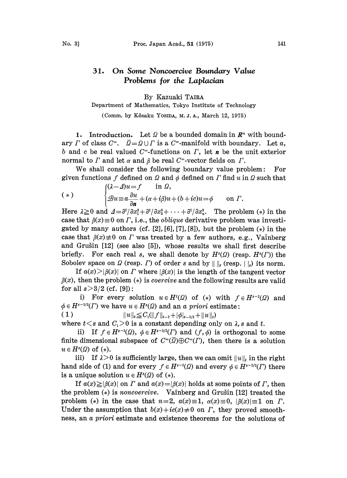#### 31. On Some Noncoercive Boundary Value Problems for the Laplacian

By Kazuaki TAIR,

### Department of Mathematics, Tokyo Institute of Technology

(Comm. by K6saku YOSIDA, M. J. A., March 12, 1975)

1. Introduction. Let  $\Omega$  be a bounded domain in  $\mathbb{R}^n$  with boundary  $\Gamma$  of class  $C^{\infty}$ .  $\overline{Q} = Q \cup \Gamma$  is a  $C^{\infty}$ -manifold with boundary. Let  $\alpha$ , b and c be real valued  $C^{\infty}$ -functions on  $\Gamma$ , let **n** be the unit exterior normal to  $\Gamma$  and let  $\alpha$  and  $\beta$  be real  $C^{\infty}$ -vector fields on  $\Gamma$ .

We shall consider the following boundary value problem: For given functions f defined on  $\Omega$  and  $\phi$  defined on  $\Gamma$  find  $u$  in  $\Omega$  such that

(\*)  
\n
$$
\begin{cases}\n(\lambda - \Delta)u = f & \text{in } \Omega, \\
\mathcal{B}u = a\frac{\partial u}{\partial n} + (\alpha + i\beta)u + (b + ic)u = \phi & \text{on } \Gamma.\n\end{cases}
$$

Here  $\lambda \geq 0$  and  $\Delta = \frac{\partial^2}{\partial x_1^2} + \frac{\partial^2}{\partial x_2^2} + \cdots + \frac{\partial^2}{\partial x_n^2}$ . The problem (\*) in the case that  $\beta(x)\equiv 0$  on  $\Gamma$ , i.e., the *oblique* derivative problem was investigated by many authors (cf.  $[2]$ ,  $[6]$ ,  $[7]$ ,  $[8]$ ), but the problem  $(*)$  in the case that  $\beta(x)\neq0$  on  $\Gamma$  was treated by a few authors, e.g., Valnberg and Grušin [12] (see also [5]), whose results we shall first describe briefly. For each real s, we shall denote by  $H<sup>s</sup>(Q)$  (resp.  $H<sup>s</sup>(\Gamma)$ ) the Sobolev space on  $\Omega$  (resp.  $\Gamma$ ) of order s and by  $\|\cdot\|_s$  (resp.  $\|\cdot\|_s$ ) its norm.

If  $a(x) > |\beta(x)|$  on T where  $|\beta(x)|$  is the length of the tangent vector  $\beta(x)$ , then the problem (\*) is *coercive* and the following results are valid for all  $s > 3/2$  (cf. [9]):

i) For every solution  $u \in H^{t}(\Omega)$  of (\*) with  $f \in H^{s-2}(\Omega)$  and  $\phi \in H^{s-3/2}(\Gamma)$  we have  $u \in H^s(\Omega)$  and an a priori estimate:

 $(1)$  $||u||_{s} \leq C_{1} (||f||_{s-2} + |\phi|_{s-3/2} + ||u||_{t})$ 

where  $t < s$  and  $C<sub>1</sub> > 0$  is a constant depending only on  $\lambda$ , s and t.

ii) If  $f \in H^{s-2}(\Omega)$ ,  $\phi \in H^{s-3/2}(\Gamma)$  and  $(f, \phi)$  is orthogonal to some finite dimensional subspace of  $C^{\infty}(\overline{Q}) \oplus C^{\infty}(T)$ , then there is a solution  $u \in H^{s}(\Omega)$  of  $(*).$ 

iii) If  $\lambda > 0$  is sufficiently large, then we can omit  $||u||_t$  in the right hand side of (1) and for every  $f \in H^{s-2}(\Omega)$  and every  $\phi \in H^{s-3/2}(\Gamma)$  there is a unique solution  $u \in H^{s}(\Omega)$  of  $(*).$ 

If  $a(x) \geq |\beta(x)|$  on  $\Gamma$  and  $a(x) = |\beta(x)|$  holds at some points of  $\Gamma$ , then the problem  $(*)$  is noncoercive. Value and Grussin [12] treated the problem (\*) in the case that  $n=2$ ,  $a(x)\equiv 1$ ,  $\alpha(x)\equiv 0$ ,  $|\beta(x)|\equiv 1$  on  $\Gamma$ . Under the assumption that  $b(x)+ic(x)\neq0$  on  $\Gamma$ , they proved smoothness, an a priori estimate and existence theorems for the solutions of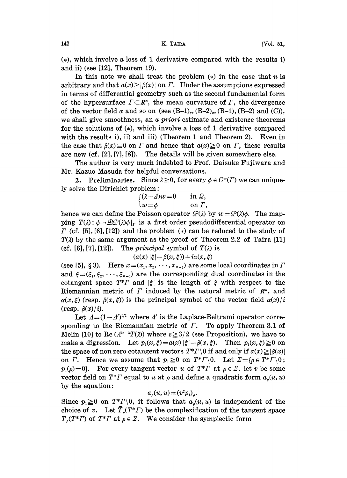$(*)$ , which involve a loss of 1 derivative compared with the results i) and ii) (see [12], Theorem 19).

In this note we shall treat the problem  $(*)$  in the case that n is arbitrary and that  $a(x) \geq |\beta(x)|$  on  $\Gamma$ . Under the assumptions expressed in terms of differential geometry such as the second fundamental form of the hypersurface  $\Gamma \subset \mathbb{R}^n$ , the mean curvature of  $\Gamma$ , the divergence of the vector field  $\alpha$  and so on (see  $(B-1)_{s}$ ,  $(B-2)_{s}$ ,  $(B-1)$ ,  $(B-2)$  and  $(C)$ ), we shall give smoothness, an a priori estimate and existence theorems for the solutions of  $(*)$ , which involve a loss of 1 derivative compared with the results i), ii) and iii) (Theorem 1 and Theorem 2). Even in the case that  $\beta(x)=0$  on  $\Gamma$  and hence that  $a(x)\geq 0$  on  $\Gamma$ , these results are new (cf. [2], [7], [8]). The details will be given somewhere else.

The author is very much indebted to Prof. Daisuke Fujiwara and Mr. Kazuo Masuda for helpful conversations.

2. Preliminaries. Since  $\lambda \geq 0$ , for every  $\phi \in C^{\infty}(\Gamma)$  we can uniquely solve the Dirichlet problem:

$$
\begin{cases}\n(\lambda - \Delta)w = 0 & \text{in } \Omega, \\
w = \phi & \text{on } \Gamma,\n\end{cases}
$$

hence we can define the Poisson operator  $\mathcal{P}(\lambda)$  by  $w=\mathcal{P}(\lambda)\phi$ . The mapping  $T(\lambda): \phi \rightarrow \mathcal{BP}(\lambda)\phi|_{r}$  is a first order pseudodifferential operator on  $\Gamma$  (cf. [5], [6], [12]) and the problem (\*) can be reduced to the study of  $T(\lambda)$  by the same argument as the proof of Theorem 2.2 of Taira [11] (cf. [6], [7], [12]). The *principal* symbol of  $T(\lambda)$  is

 $(a(x) \mid \xi \mid -\beta(x, \xi)) + i\alpha(x, \xi)$ 

(see [5], § 3). Here  $x=(x_1, x_2, \dots, x_{n-1})$  are some local coordinates in  $\Gamma$ and  $\xi = (\xi_1, \xi_2, \dots, \xi_{n-1})$  are the corresponding dual coordinates in the cotangent space  $T^*T$  and  $|\xi|$  is the length of  $\xi$  with respect to the Riemannian metric of  $\Gamma$  induced by the natural metric of  $\mathbb{R}^n$ , and  $\alpha(x, \xi)$  (resp.  $\beta(x, \xi)$ ) is the principal symbol of the vector field  $\alpha(x)/i$ (resp.  $\beta(x) / i$ ).

Let  $\Lambda = (1 - \Lambda')^{1/2}$  where  $\Lambda'$  is the Laplace-Beltrami operator corre-Let  $\Lambda = (1 - A')^{1/2}$  where  $\Lambda'$  is the Laplace-Beltrami operator corresponding to the Riemannian metric of  $\Gamma$ . To apply Theorem 3.1 of Melin [10] to Re  $(A^{2s-3}T(\lambda))$  where  $s \geq 3/2$  (see Proposition), we have to make a digression. Let  $p_1(x, \xi) = a(x) |\xi| - \beta(x, \xi)$ . Then  $p_1(x, \xi) \ge 0$  on the space of non zero cotangent vectors  $T^*T \setminus 0$  if and only if  $a(x) \geq |\beta(x)|$ on  $\Gamma$ . Hence we assume that  $p_1 \ge 0$  on  $T^* \Gamma \setminus 0$ . Let  $\Sigma = {\rho \in T^* \Gamma \setminus 0}$ ;  $p_1(\rho)=0$ . For every tangent vector u of  $T^*T$  at  $\rho \in \Sigma$ , let v be some vector field on  $T^*T$  equal to u at  $\rho$  and define a quadratic form  $a_{\rho}(u, u)$ by the equation:

# $a_{\rho}(u, u) = (v^2 p_1)_{\rho}.$

Since  $p_1 \ge 0$  on  $T^*T \setminus 0$ , it follows that  $a_n(u, u)$  is independent of the choice of v. Let  $T_s(T^*T)$  be the complexification of the tangent space  $T_{\rho}(T^*T)$  of  $T^*T$  at  $\rho \in \Sigma$ . We consider the symplectic form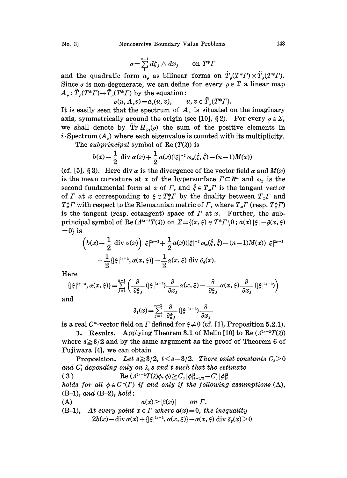$$
\sigma = \sum_{1}^{n-1} d\xi_j \wedge dx_j \qquad \text{on } T^* \Gamma
$$

and the quadratic form  $a_n$  as bilinear forms on  $\tilde{T}_n(T^*T)\times \tilde{T}_n(T^*T)$ . Since  $\sigma$  is non-degenerate, we can define for every  $\rho \in \Sigma$  a linear map  $A_{\rho}$ :  $\tilde{T}_{\rho}(T^*T) \rightarrow \tilde{T}_{\rho}(T^*T)$  by the equation:

$$
\sigma(u,A_{\rho}v) = a_{\rho}(u,v), \qquad u,v \in \tilde{T}_{\rho}(T^*T).
$$

It is easily seen that the spectrum of  $A<sub>s</sub>$  is situated on the imaginary axis, symmetrically around the origin (see [10], §2). For every  $\rho \in \Sigma$ , we shall denote by  $\tilde{T}r H_{p}(p)$  the sum of the positive elements in  $i$ . Spectrum  $(A_{\rho})$  where each eigenvalue is counted with its multiplicity.

The *subprincipal* symbol of  $\text{Re}(T(\lambda))$  is

$$
b(x) - \frac{1}{2} \operatorname{div} \alpha(x) + \frac{1}{2} a(x) (|\xi|^{-2} \omega_x(\hat{\xi}, \hat{\xi}) - (n-1)M(x))
$$

(cf. [5], § 3). Here div  $\alpha$  is the divergence of the vector field  $\alpha$  and  $M(x)$ is the mean curvature at x of the hypersurface  $\Gamma \subset \mathbb{R}^n$  and  $\omega_x$  is the second fundamental form at x of  $\Gamma$ , and  $\hat{\xi} \in T_x \Gamma$  is the tangent vector of  $\Gamma$  at x corresponding to  $\xi \in T_x^* \Gamma$  by the duality between  $T_x \Gamma$  and  $T_x^*$  with respect to the Riemannian metric of  $\Gamma$ , where  $T_x \Gamma$  (resp.  $T_x^* \Gamma$ ) is the tangent (resp. cotangent) space of  $\Gamma$  at  $x$ . Further, the subprincipal symbol of Re  $(A^{2s-3}T(\lambda))$  on  $\Sigma = \{(x,\xi) \in T^*T \setminus 0 \, ; \, a(x) \, | \xi | - \beta(x,\xi)\}$  $=0$ } is

$$
\left(b(x)-\frac{1}{2}\operatorname{div}\alpha(x)\right)|\xi|^{2s-3}+\frac{1}{2}a(x)(|\xi|^{-2}\omega_x(\hat{\xi},\hat{\xi})-(n-1)M(x))|\xi|^{2s-3}\\+\frac{1}{2}\{|\xi|^{2s-3},\alpha(x,\xi)\}-\frac{1}{2}\alpha(x,\xi)\operatorname{div}\delta_\xi(x).
$$

Here

$$
\{|\xi|^{2s-3},\alpha(x,\xi)\}=\sum_{j=1}^{n-1}\left(\frac{\partial}{\partial\xi_j}\left(|\xi|^{2s-3}\right)\frac{\partial}{\partial x_j}\alpha(x,\xi)-\frac{\partial}{\partial\xi_j}\alpha(x,\xi)\frac{\partial}{\partial x_j}\left(|\xi|^{2s-3}\right)\right)
$$

and

$$
\delta_{\xi}(x) = \sum_{j=1}^{n-1} \frac{\partial}{\partial \xi_j} (|\xi|^{2s-3}) \frac{\partial}{\partial x_j}
$$

is a real C<sup>\*</sup>-vector field on  $\Gamma$  defined for  $\xi \neq 0$  (cf. [1], Proposition 5.2.1).

3. Results. Applying Theorem 3.1 of Melin [10] to Re  $(A^{2s-3}T(\lambda))$ where  $s \geq 3/2$  and by the same argument as the proof of Theorem 6 of Fujiwara [4], we can obtain

**Proposition.** Let  $s \geq 3/2$ ,  $t < s-3/2$ . There exist constants  $C_s > 0$ and  $C'_3$  depending only on  $\lambda$ , s and t such that the estimate<br>
(3)  $\text{Re} (A^{2s-3}T(\lambda)\phi, \phi) \geq C_3 |\phi|^2_{s-3/2} - C'_3 |\phi|^2_{t}$ holds for all  $\phi \in C^{\infty}(\Gamma)$  if and only if the following assumptions (A),  $(B-1)$  and  $(B-2)$  hold: (A)  $a(x) \geq |\beta(x)|$  on  $\Gamma$ .  $(B-1)$ , At every point  $x \in \Gamma$  where  $a(x)=0$ , the inequality  $2b(x)$  - div  $\alpha(x)$  + { $|\xi|^{2s-3}$ ,  $\alpha(x,\xi)$ } -  $\alpha(x,\xi)$  div  $\delta_{\varepsilon}(x)$  > 0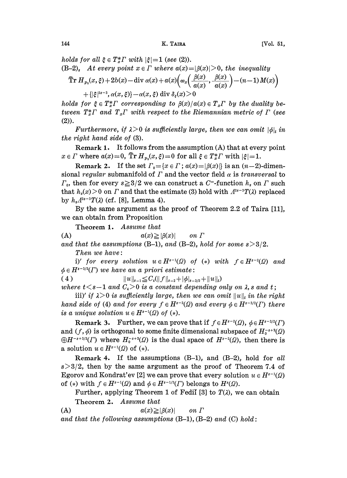holds for all  $\xi \in T^*_x \Gamma$  with  $|\xi|=1$  (see (2)).  $(B-2)$ , At every point  $x \in \Gamma$  where  $a(x)=|\beta(x)|>0$ , the inequality  $\widetilde{\text{Tr}} H_{p_1}(x,\xi) + 2b(x) - \text{div }\alpha(x) + a(x) \left( \omega_x \left( \frac{\beta(x)}{a(x)}, \frac{\beta(x)}{a(x)} \right) - (n-1) M(x) \right)$  $+\{\xi\}^{2s-3}, \alpha(x,\xi)\}-\alpha(x,\xi) \operatorname{div} \delta_{\xi}(x) > 0$ 

holds for  $\xi \in T_x^* \Gamma$  corresponding to  $\beta(x)/a(x) \in T_x\Gamma$  by the duality between  $T^*_{x}\Gamma$  and  $T_x\Gamma$  with respect to the Riemannian metric of  $\Gamma$  (see (2)).

Furthermore, if  $\lambda > 0$  is sufficiently large, then we can omit  $|\phi|$ , in the right hand side of (3).

Remark 1. It follows from the assumption (A) that at every point  $x \in \Gamma$  where  $a(x)=0$ ,  $\tilde{T}r H_{p_1}(x,\xi)=0$  for all  $\xi \in T_x^* \Gamma$  with  $|\xi|=1$ .

Remark 2. If the set  $\Gamma_0 = \{x \in \Gamma : a(x) = |\beta(x)|\}$  is an  $(n-2)$ -dimensional regular submanifold of  $\Gamma$  and the vector field  $\alpha$  is transversal to  $\Gamma_0$ , then for every  $s \geq 3/2$  we can construct a C<sup>--</sup>function  $h_s$  on  $\Gamma$  such that  $h_s(x) > 0$  on  $\Gamma$  and that the estimate (3) hold with  $A^{2s-3}T(\lambda)$  replaced by  $h_s A^{2s-3}T(\lambda)$  (cf. [8], Lemma 4).

By the same argument as the proof of Theorem 2.2 of Taira [11], we can obtain from Proposition

Theorem 1. Assume that

(A)  $a(x) \geq |\beta(x)|$  on  $\Gamma$ 

and that the assumptions  $(B-1)$ , and  $(B-2)$ , hold for some  $s > 3/2$ . Then we have:

i)' for every solution  $u \in H^{s-1}(\Omega)$  of (\*) with  $f \in H^{s-2}(\Omega)$  and  $\phi \in H^{s-3/2}(\Gamma)$  we have an a priori estimate:

(4)  $||u||_{s-1} \leq C_4(||f||_{s-2}+|\phi|_{s-3/2}+||u||_t)$ 

where  $t < s-1$  and  $C_4 > 0$  is a constant depending only on  $\lambda$ , s and  $t$ ;<br>iii)' if  $\lambda > 0$  is sufficiently large, then we can omit  $||u||_t$  in the right hand side of (4) and for every  $f \in H^{s-2}(\Omega)$  and every  $\phi \in H^{s-3/2}(\Gamma)$  there is a unique solution  $u \in H^{s-1}(\Omega)$  of  $(*)$ .

**Remark 3.** Further, we can prove that if  $f \in H^{s-2}(\Omega)$ ,  $\phi \in H^{s-3/2}(\Gamma)$ and  $(f, \phi)$  is orthogonal to some finite dimensional subspace of  $H_0^{-s+2}(\Omega)$  $\bigoplus H^{-s+3/2}(I)$  where  $H_0^{-s+2}(\Omega)$  is the dual space of  $H^{s-2}(\Omega)$ , then there is a solution  $u \in H^{s-1}(\Omega)$  of  $(*)$ .

Remark 4. If the assumptions  $(B-1)$  and  $(B-2)$  hold for all  $s > 3/2$ , then by the same argument as the proof of Theorem 7.4 of Egorov and Kondrat'ev [2] we can prove that every solution  $u \in H^{s-1}(\Omega)$ of (\*) with  $f \in H^{s-1}(\Omega)$  and  $\phi \in H^{s-1/2}(\Gamma)$  belongs to  $H^s(\Omega)$ .

Further, applying Theorem 1 of Fedil [3] to  $T(\lambda)$ , we can obtain Theorem 2. Assume that

(A)  $a(x) \geq |\beta(x)|$  on  $\Gamma$ and that the following assumptions  $(B-1)$ ,  $(B-2)$  and  $(C)$  hold: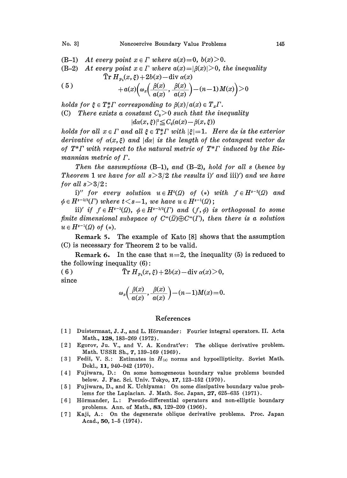# No. 3] Noncoercive Boundary Value Problems 145

- (B-1) At every point  $x \in \Gamma$  where  $a(x)=0, b(x) \geq 0$ .
- (B-2) At every point  $x \in \Gamma$  where  $a(x) = |\beta(x)| > 0$ , the inequality  $\tilde{\operatorname{Tr}} H_{p_1}(x,\xi) + 2b(x) - \operatorname{div} \alpha(x)$

$$
(5) \t\t +a(x)\Big(\omega_x\Big(\frac{\beta(x)}{a(x)},\frac{\beta(x)}{a(x)}\Big)-(n-1)M(x)\Big)>0
$$

holds for  $\xi \in T^*_x \Gamma$  corresponding to  $\beta(x)/a(x) \in T_x \Gamma$ . (C) There exists a constant  $C_0 > 0$  such that the inequality  $|d\alpha(x,\xi)|^2 \leq C_0(a(x)-\beta(x,\xi))$ 

holds for all  $x \in \Gamma$  and all  $\xi \in T_x^* \Gamma$  with  $|\xi|=1$ . Here da is the exterior derivative of  $\alpha(x,\xi)$  and  $|d\alpha|$  is the length of the cotangent vector  $d\alpha$ of  $T^* \Gamma$  with respect to the natural metric of  $T^* \Gamma$  induced by the Riemannian metric of  $\Gamma$ .

Then the assumptions  $(B-1)$ , and  $(B-2)$ , hold for all s (hence by Theorem 1 we have for all  $s>3/2$  the results i)' and iii)') and we have for all  $s > 3/2$ :

i)" for every solution  $u \in H^t(\Omega)$  of  $(*)$  with  $f \in H^{s-2}(\Omega)$  and  $\phi \in H^{s-3/2}(\Gamma)$  where  $t < s-1$ , we have  $u \in H^{s-1}(\Omega)$ ;

ii)' if  $f \in H^{s-2}(\Omega)$ ,  $\phi \in H^{s-3/2}(\Gamma)$  and  $(f, \phi)$  is orthogonal to some finite dimensional subspace of  $C^{\infty}(\overline{Q}) \oplus C^{\infty}(T)$ , then there is a solution  $u \in H^{s-1}(\Omega)$  of  $(*)$ .

Remark 5. The example of Kato [8] shows that the assumption (C) is necessary for Theorem 2 to be valid.

**Remark 6.** In the case that  $n=2$ , the inequality (5) is reduced to the following inequality (6):

( 6 )  $\tilde{\text{Tr}} H_{p_1}(x,\xi) + 2b(x) - \text{div } \alpha(x) > 0,$ since  $(x, y)$  (x)

$$
\omega_x\left(\frac{\beta(x)}{a(x)},\frac{\beta(x)}{a(x)}\right)-(n-1)M(x)=0.
$$

#### References

- [1] Duistermaat, J. J., and L. Hörmander: Fourier integral operators. II. Acta Math., 128, 183-269 (1972).
- [2] Egorov, Ju. V., and V. A. Kondrat'ev: The oblique derivative problem. Math. USSR Sb., 7, 139-169 (1969).
- [3] Fedii, V. S.: Estimates in  $H_{(s)}$  norms and hypoellipticity. Soviet Math. Dokl., 11, 940-942 (1970).
- [4] Fujiwara, D.: On some homogeneous boundary value problems bounded below. J. Fac. Sci. Univ. Tokyo, 17, 123-152 (1970).
- [5] Fujiwara, D., and K. Uchiyama: On some dissipative boundary value problems for the Laplacian. J. Math. Soc. Japan, 27, 625-635 (1971).
- [6] Hörmander, L.: Pseudo-differential operators and non-elliptic boundary problems. Ann. of Math., 83, 129-209 (1966).
- [7] Kaji, A.: On the degenerate oblique derivative problems. Proc. Japan Acad., 50, 1-5 (1974).